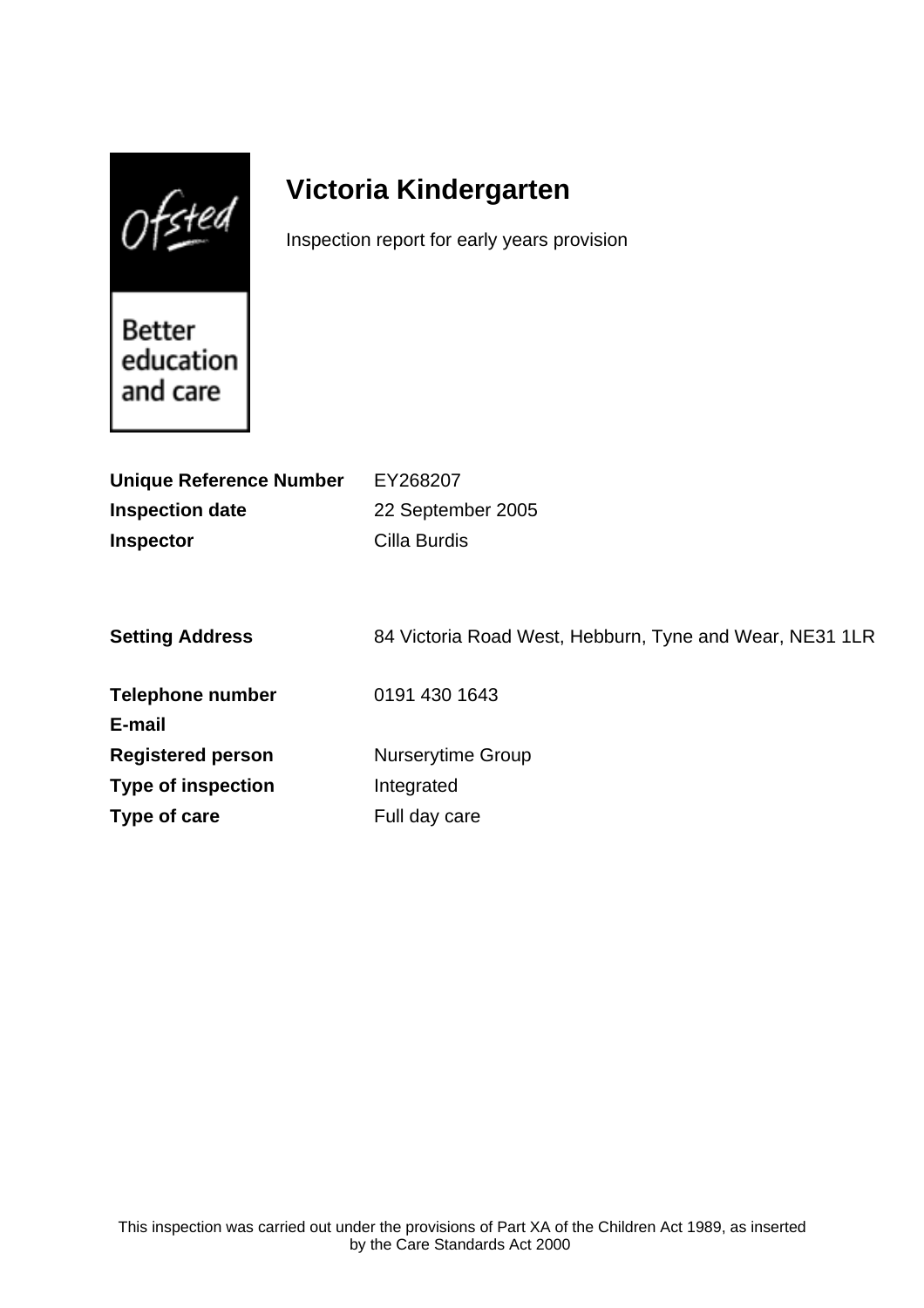$Of$ sted

# **Victoria Kindergarten**

Inspection report for early years provision

Better education and care

| <b>Unique Reference Number</b> | EY268207                                                |
|--------------------------------|---------------------------------------------------------|
| <b>Inspection date</b>         | 22 September 2005                                       |
| <b>Inspector</b>               | Cilla Burdis                                            |
|                                |                                                         |
|                                |                                                         |
| <b>Setting Address</b>         | 84 Victoria Road West, Hebburn, Tyne and Wear, NE31 1LR |
|                                |                                                         |
| <b>Telephone number</b>        | 0191 430 1643                                           |
| E-mail                         |                                                         |
| <b>Registered person</b>       | <b>Nurserytime Group</b>                                |
| <b>Type of inspection</b>      | Integrated                                              |
| Type of care                   | Full day care                                           |
|                                |                                                         |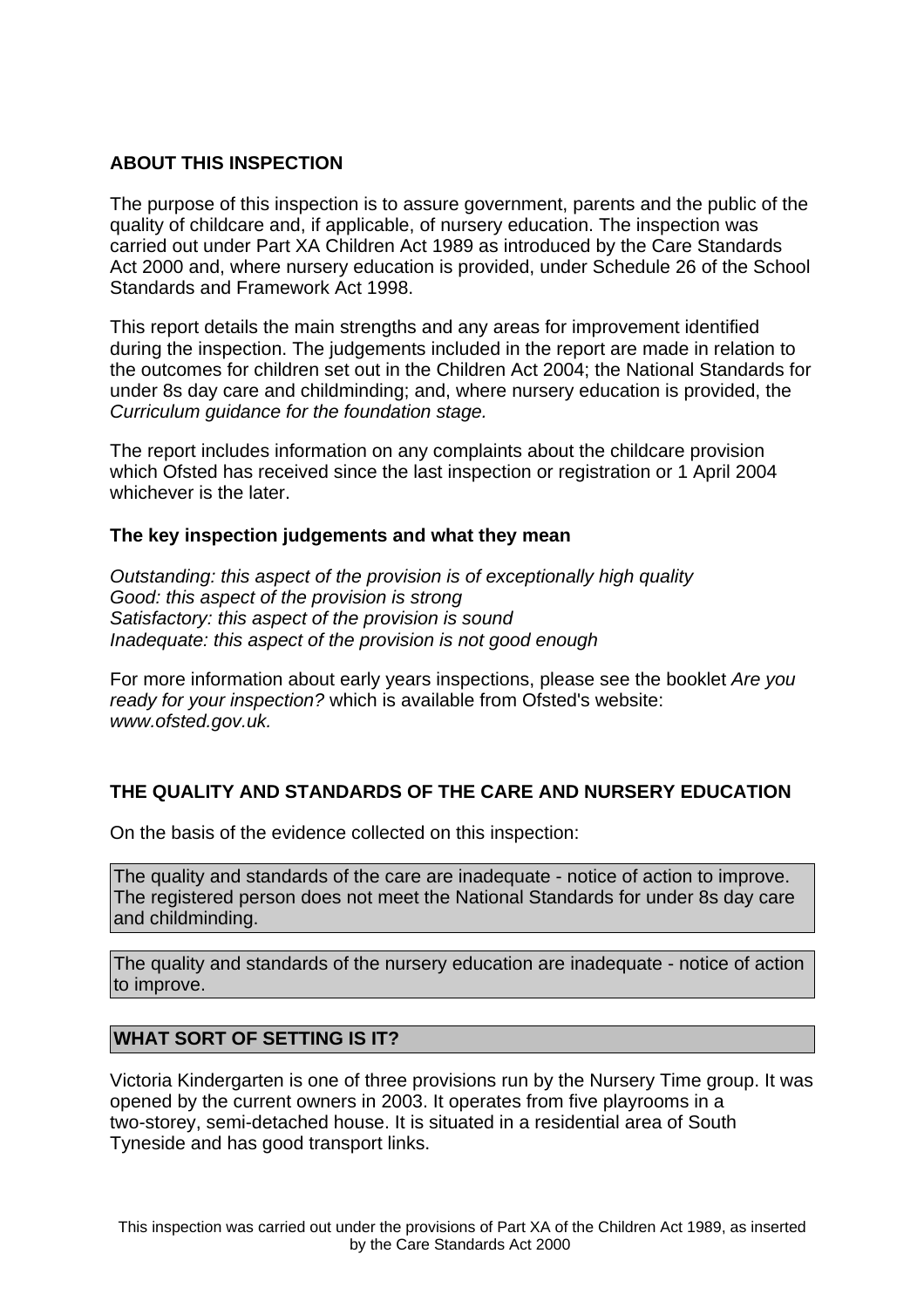## **ABOUT THIS INSPECTION**

The purpose of this inspection is to assure government, parents and the public of the quality of childcare and, if applicable, of nursery education. The inspection was carried out under Part XA Children Act 1989 as introduced by the Care Standards Act 2000 and, where nursery education is provided, under Schedule 26 of the School Standards and Framework Act 1998.

This report details the main strengths and any areas for improvement identified during the inspection. The judgements included in the report are made in relation to the outcomes for children set out in the Children Act 2004; the National Standards for under 8s day care and childminding; and, where nursery education is provided, the Curriculum guidance for the foundation stage.

The report includes information on any complaints about the childcare provision which Ofsted has received since the last inspection or registration or 1 April 2004 whichever is the later.

## **The key inspection judgements and what they mean**

Outstanding: this aspect of the provision is of exceptionally high quality Good: this aspect of the provision is strong Satisfactory: this aspect of the provision is sound Inadequate: this aspect of the provision is not good enough

For more information about early years inspections, please see the booklet Are you ready for your inspection? which is available from Ofsted's website: www.ofsted.gov.uk.

## **THE QUALITY AND STANDARDS OF THE CARE AND NURSERY EDUCATION**

On the basis of the evidence collected on this inspection:

The quality and standards of the care are inadequate - notice of action to improve. The registered person does not meet the National Standards for under 8s day care and childminding.

The quality and standards of the nursery education are inadequate - notice of action to improve.

## **WHAT SORT OF SETTING IS IT?**

Victoria Kindergarten is one of three provisions run by the Nursery Time group. It was opened by the current owners in 2003. It operates from five playrooms in a two-storey, semi-detached house. It is situated in a residential area of South Tyneside and has good transport links.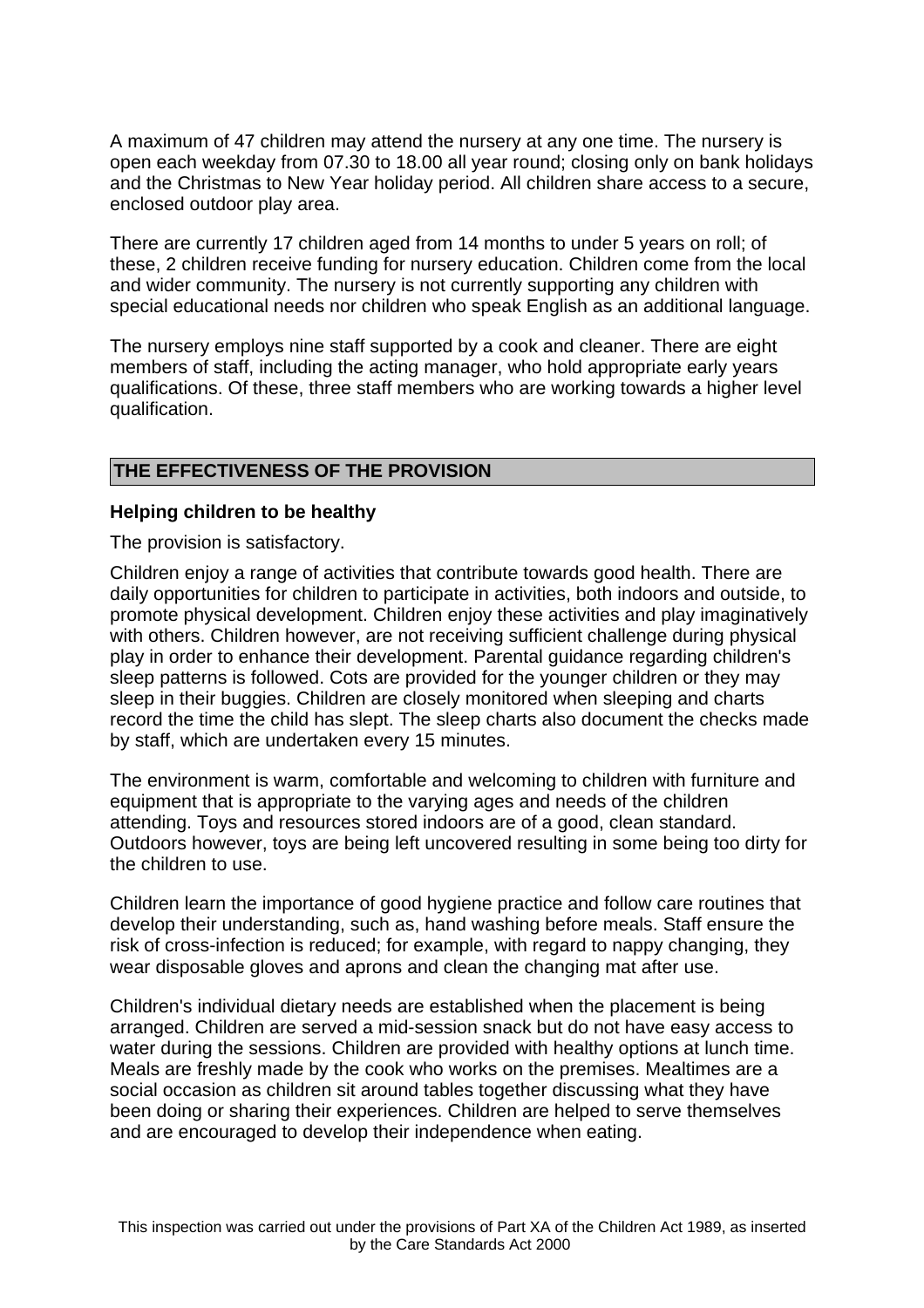A maximum of 47 children may attend the nursery at any one time. The nursery is open each weekday from 07.30 to 18.00 all year round; closing only on bank holidays and the Christmas to New Year holiday period. All children share access to a secure, enclosed outdoor play area.

There are currently 17 children aged from 14 months to under 5 years on roll; of these, 2 children receive funding for nursery education. Children come from the local and wider community. The nursery is not currently supporting any children with special educational needs nor children who speak English as an additional language.

The nursery employs nine staff supported by a cook and cleaner. There are eight members of staff, including the acting manager, who hold appropriate early years qualifications. Of these, three staff members who are working towards a higher level qualification.

# **THE EFFECTIVENESS OF THE PROVISION**

## **Helping children to be healthy**

The provision is satisfactory.

Children enjoy a range of activities that contribute towards good health. There are daily opportunities for children to participate in activities, both indoors and outside, to promote physical development. Children enjoy these activities and play imaginatively with others. Children however, are not receiving sufficient challenge during physical play in order to enhance their development. Parental guidance regarding children's sleep patterns is followed. Cots are provided for the younger children or they may sleep in their buggies. Children are closely monitored when sleeping and charts record the time the child has slept. The sleep charts also document the checks made by staff, which are undertaken every 15 minutes.

The environment is warm, comfortable and welcoming to children with furniture and equipment that is appropriate to the varying ages and needs of the children attending. Toys and resources stored indoors are of a good, clean standard. Outdoors however, toys are being left uncovered resulting in some being too dirty for the children to use.

Children learn the importance of good hygiene practice and follow care routines that develop their understanding, such as, hand washing before meals. Staff ensure the risk of cross-infection is reduced; for example, with regard to nappy changing, they wear disposable gloves and aprons and clean the changing mat after use.

Children's individual dietary needs are established when the placement is being arranged. Children are served a mid-session snack but do not have easy access to water during the sessions. Children are provided with healthy options at lunch time. Meals are freshly made by the cook who works on the premises. Mealtimes are a social occasion as children sit around tables together discussing what they have been doing or sharing their experiences. Children are helped to serve themselves and are encouraged to develop their independence when eating.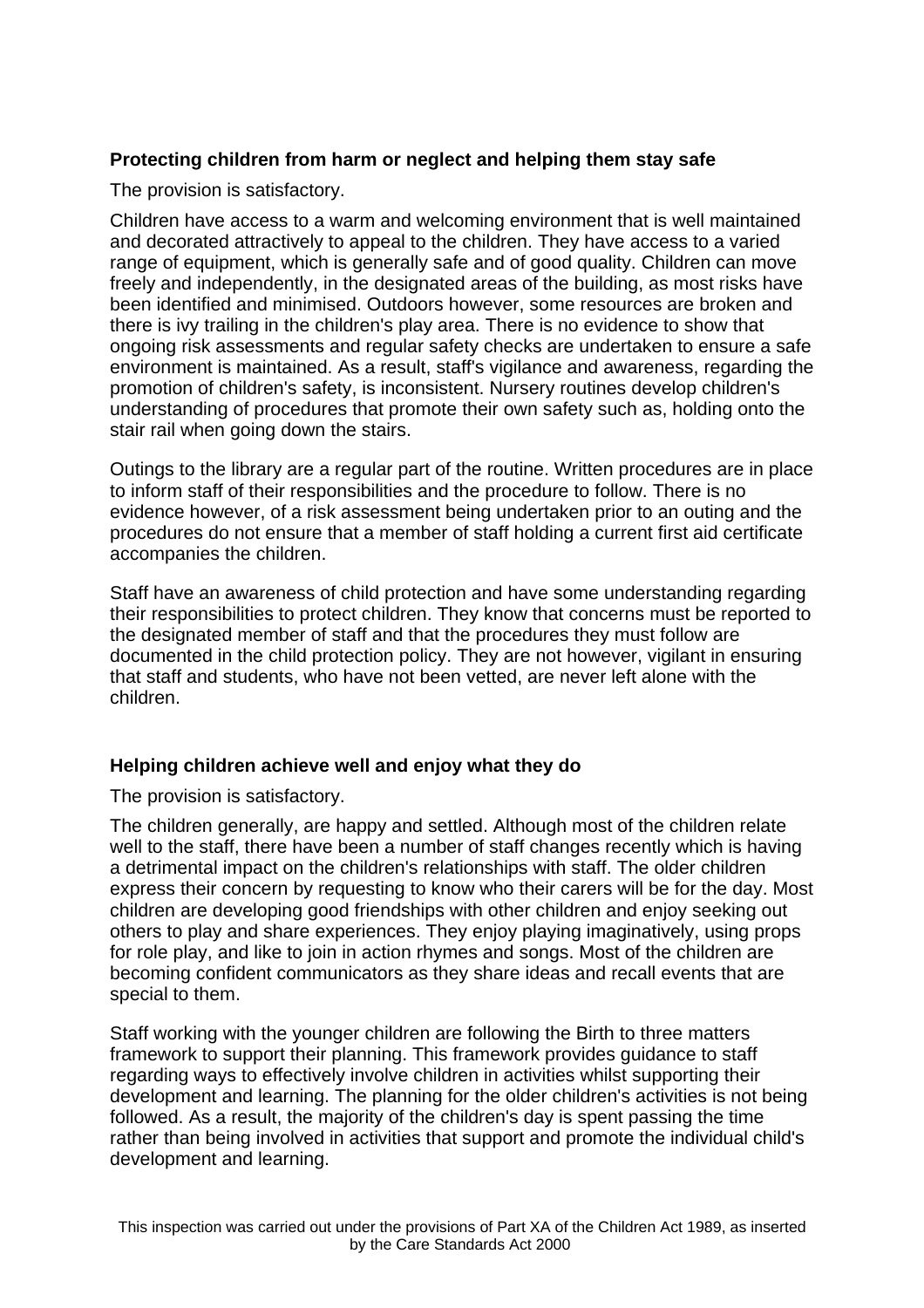# **Protecting children from harm or neglect and helping them stay safe**

The provision is satisfactory.

Children have access to a warm and welcoming environment that is well maintained and decorated attractively to appeal to the children. They have access to a varied range of equipment, which is generally safe and of good quality. Children can move freely and independently, in the designated areas of the building, as most risks have been identified and minimised. Outdoors however, some resources are broken and there is ivy trailing in the children's play area. There is no evidence to show that ongoing risk assessments and regular safety checks are undertaken to ensure a safe environment is maintained. As a result, staff's vigilance and awareness, regarding the promotion of children's safety, is inconsistent. Nursery routines develop children's understanding of procedures that promote their own safety such as, holding onto the stair rail when going down the stairs.

Outings to the library are a regular part of the routine. Written procedures are in place to inform staff of their responsibilities and the procedure to follow. There is no evidence however, of a risk assessment being undertaken prior to an outing and the procedures do not ensure that a member of staff holding a current first aid certificate accompanies the children.

Staff have an awareness of child protection and have some understanding regarding their responsibilities to protect children. They know that concerns must be reported to the designated member of staff and that the procedures they must follow are documented in the child protection policy. They are not however, vigilant in ensuring that staff and students, who have not been vetted, are never left alone with the children.

# **Helping children achieve well and enjoy what they do**

The provision is satisfactory.

The children generally, are happy and settled. Although most of the children relate well to the staff, there have been a number of staff changes recently which is having a detrimental impact on the children's relationships with staff. The older children express their concern by requesting to know who their carers will be for the day. Most children are developing good friendships with other children and enjoy seeking out others to play and share experiences. They enjoy playing imaginatively, using props for role play, and like to join in action rhymes and songs. Most of the children are becoming confident communicators as they share ideas and recall events that are special to them.

Staff working with the younger children are following the Birth to three matters framework to support their planning. This framework provides guidance to staff regarding ways to effectively involve children in activities whilst supporting their development and learning. The planning for the older children's activities is not being followed. As a result, the majority of the children's day is spent passing the time rather than being involved in activities that support and promote the individual child's development and learning.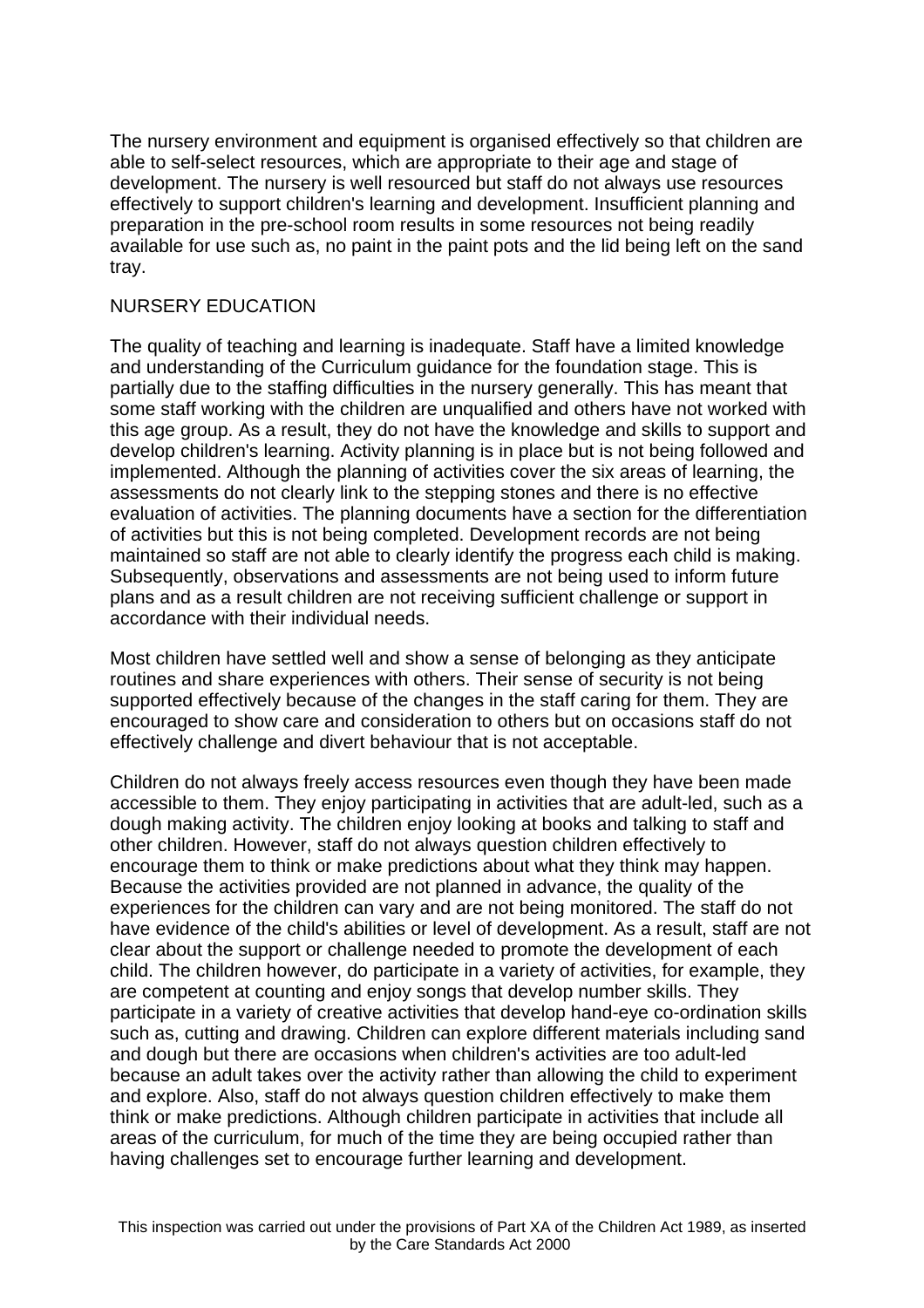The nursery environment and equipment is organised effectively so that children are able to self-select resources, which are appropriate to their age and stage of development. The nursery is well resourced but staff do not always use resources effectively to support children's learning and development. Insufficient planning and preparation in the pre-school room results in some resources not being readily available for use such as, no paint in the paint pots and the lid being left on the sand tray.

#### NURSERY EDUCATION

The quality of teaching and learning is inadequate. Staff have a limited knowledge and understanding of the Curriculum guidance for the foundation stage. This is partially due to the staffing difficulties in the nursery generally. This has meant that some staff working with the children are unqualified and others have not worked with this age group. As a result, they do not have the knowledge and skills to support and develop children's learning. Activity planning is in place but is not being followed and implemented. Although the planning of activities cover the six areas of learning, the assessments do not clearly link to the stepping stones and there is no effective evaluation of activities. The planning documents have a section for the differentiation of activities but this is not being completed. Development records are not being maintained so staff are not able to clearly identify the progress each child is making. Subsequently, observations and assessments are not being used to inform future plans and as a result children are not receiving sufficient challenge or support in accordance with their individual needs.

Most children have settled well and show a sense of belonging as they anticipate routines and share experiences with others. Their sense of security is not being supported effectively because of the changes in the staff caring for them. They are encouraged to show care and consideration to others but on occasions staff do not effectively challenge and divert behaviour that is not acceptable.

Children do not always freely access resources even though they have been made accessible to them. They enjoy participating in activities that are adult-led, such as a dough making activity. The children enjoy looking at books and talking to staff and other children. However, staff do not always question children effectively to encourage them to think or make predictions about what they think may happen. Because the activities provided are not planned in advance, the quality of the experiences for the children can vary and are not being monitored. The staff do not have evidence of the child's abilities or level of development. As a result, staff are not clear about the support or challenge needed to promote the development of each child. The children however, do participate in a variety of activities, for example, they are competent at counting and enjoy songs that develop number skills. They participate in a variety of creative activities that develop hand-eye co-ordination skills such as, cutting and drawing. Children can explore different materials including sand and dough but there are occasions when children's activities are too adult-led because an adult takes over the activity rather than allowing the child to experiment and explore. Also, staff do not always question children effectively to make them think or make predictions. Although children participate in activities that include all areas of the curriculum, for much of the time they are being occupied rather than having challenges set to encourage further learning and development.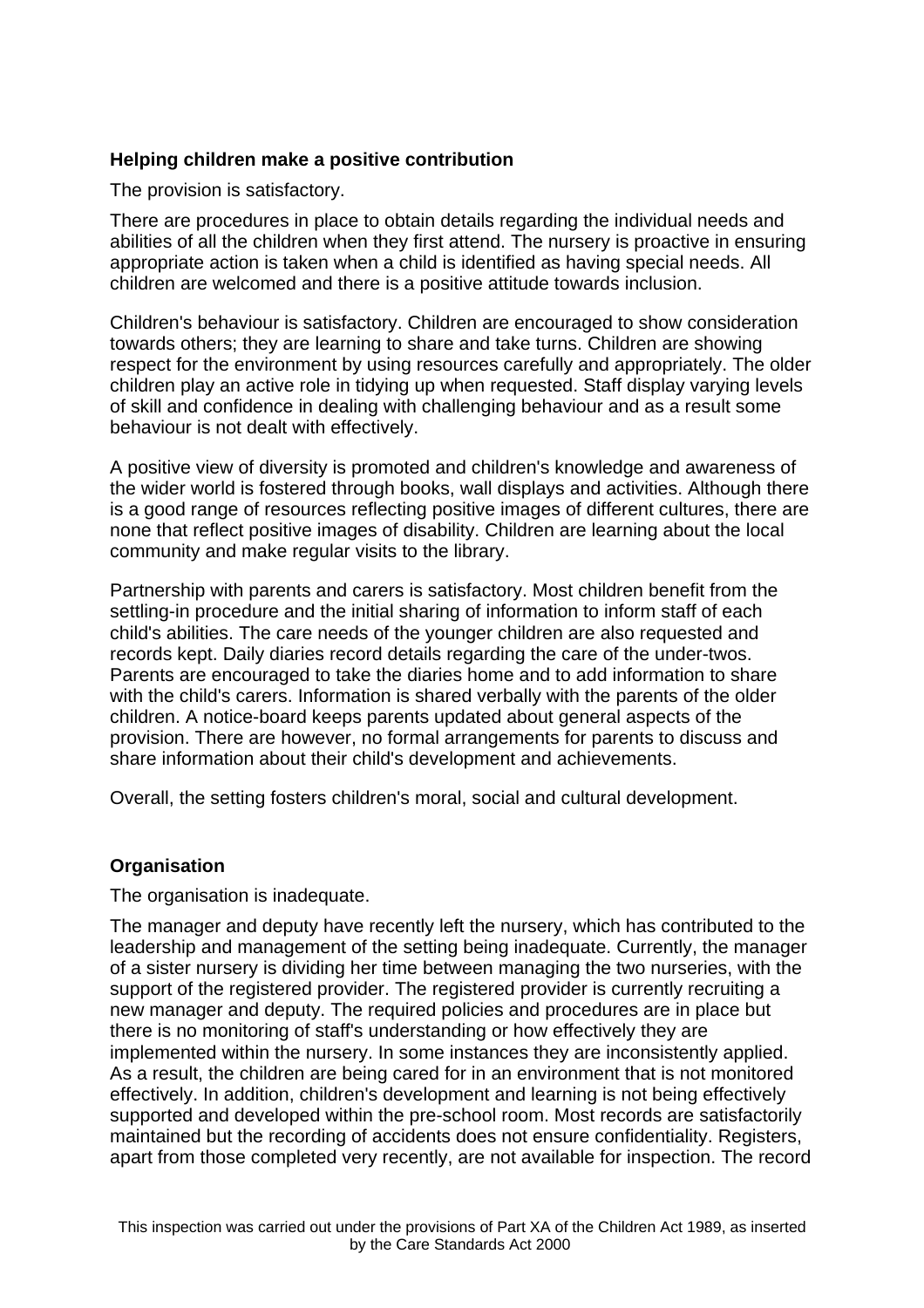# **Helping children make a positive contribution**

The provision is satisfactory.

There are procedures in place to obtain details regarding the individual needs and abilities of all the children when they first attend. The nursery is proactive in ensuring appropriate action is taken when a child is identified as having special needs. All children are welcomed and there is a positive attitude towards inclusion.

Children's behaviour is satisfactory. Children are encouraged to show consideration towards others; they are learning to share and take turns. Children are showing respect for the environment by using resources carefully and appropriately. The older children play an active role in tidying up when requested. Staff display varying levels of skill and confidence in dealing with challenging behaviour and as a result some behaviour is not dealt with effectively.

A positive view of diversity is promoted and children's knowledge and awareness of the wider world is fostered through books, wall displays and activities. Although there is a good range of resources reflecting positive images of different cultures, there are none that reflect positive images of disability. Children are learning about the local community and make regular visits to the library.

Partnership with parents and carers is satisfactory. Most children benefit from the settling-in procedure and the initial sharing of information to inform staff of each child's abilities. The care needs of the younger children are also requested and records kept. Daily diaries record details regarding the care of the under-twos. Parents are encouraged to take the diaries home and to add information to share with the child's carers. Information is shared verbally with the parents of the older children. A notice-board keeps parents updated about general aspects of the provision. There are however, no formal arrangements for parents to discuss and share information about their child's development and achievements.

Overall, the setting fosters children's moral, social and cultural development.

## **Organisation**

The organisation is inadequate.

The manager and deputy have recently left the nursery, which has contributed to the leadership and management of the setting being inadequate. Currently, the manager of a sister nursery is dividing her time between managing the two nurseries, with the support of the registered provider. The registered provider is currently recruiting a new manager and deputy. The required policies and procedures are in place but there is no monitoring of staff's understanding or how effectively they are implemented within the nursery. In some instances they are inconsistently applied. As a result, the children are being cared for in an environment that is not monitored effectively. In addition, children's development and learning is not being effectively supported and developed within the pre-school room. Most records are satisfactorily maintained but the recording of accidents does not ensure confidentiality. Registers, apart from those completed very recently, are not available for inspection. The record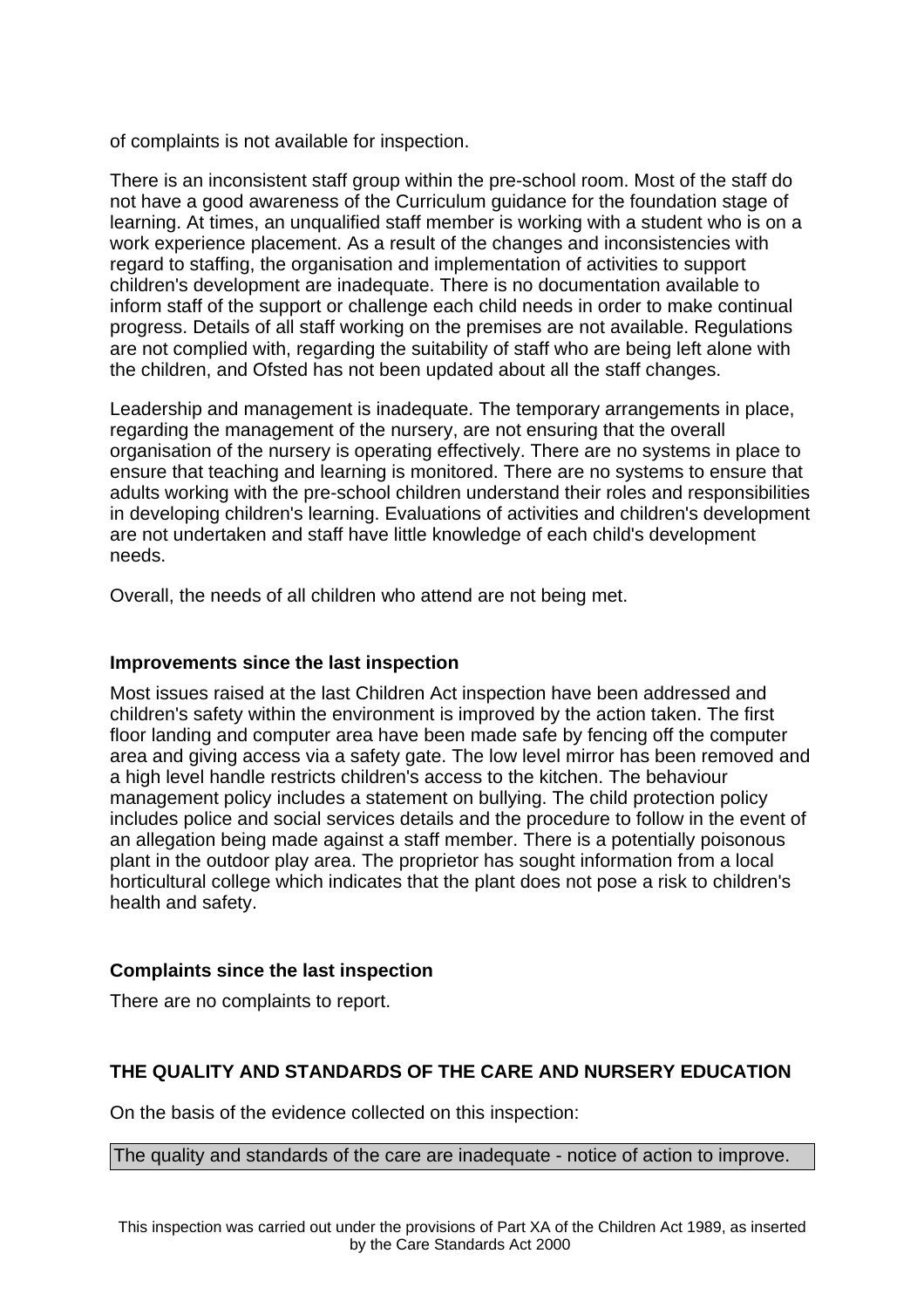of complaints is not available for inspection.

There is an inconsistent staff group within the pre-school room. Most of the staff do not have a good awareness of the Curriculum guidance for the foundation stage of learning. At times, an unqualified staff member is working with a student who is on a work experience placement. As a result of the changes and inconsistencies with regard to staffing, the organisation and implementation of activities to support children's development are inadequate. There is no documentation available to inform staff of the support or challenge each child needs in order to make continual progress. Details of all staff working on the premises are not available. Regulations are not complied with, regarding the suitability of staff who are being left alone with the children, and Ofsted has not been updated about all the staff changes.

Leadership and management is inadequate. The temporary arrangements in place, regarding the management of the nursery, are not ensuring that the overall organisation of the nursery is operating effectively. There are no systems in place to ensure that teaching and learning is monitored. There are no systems to ensure that adults working with the pre-school children understand their roles and responsibilities in developing children's learning. Evaluations of activities and children's development are not undertaken and staff have little knowledge of each child's development needs.

Overall, the needs of all children who attend are not being met.

#### **Improvements since the last inspection**

Most issues raised at the last Children Act inspection have been addressed and children's safety within the environment is improved by the action taken. The first floor landing and computer area have been made safe by fencing off the computer area and giving access via a safety gate. The low level mirror has been removed and a high level handle restricts children's access to the kitchen. The behaviour management policy includes a statement on bullying. The child protection policy includes police and social services details and the procedure to follow in the event of an allegation being made against a staff member. There is a potentially poisonous plant in the outdoor play area. The proprietor has sought information from a local horticultural college which indicates that the plant does not pose a risk to children's health and safety.

## **Complaints since the last inspection**

There are no complaints to report.

# **THE QUALITY AND STANDARDS OF THE CARE AND NURSERY EDUCATION**

On the basis of the evidence collected on this inspection:

The quality and standards of the care are inadequate - notice of action to improve.